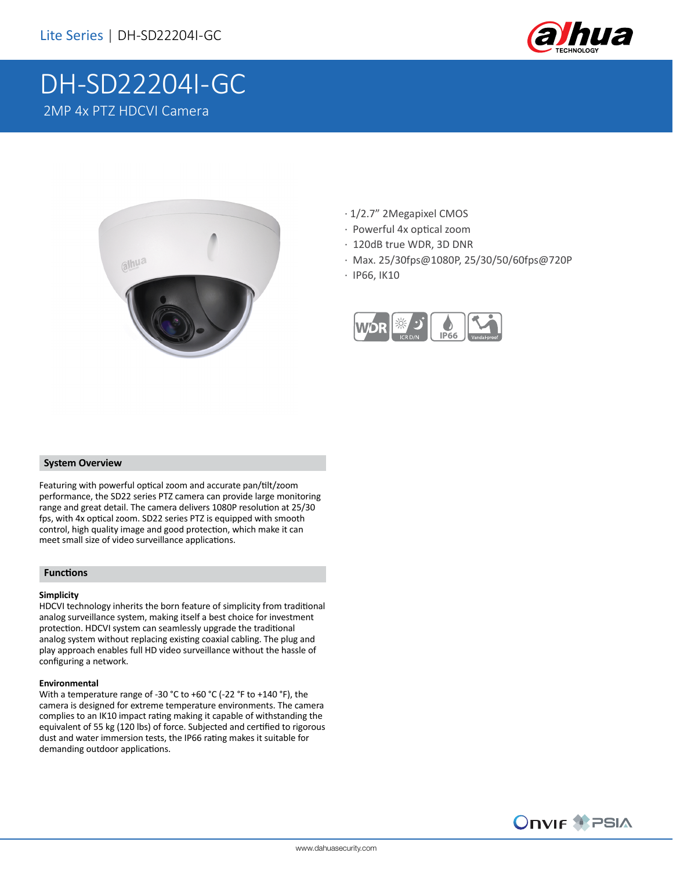

# DH-SD22204I-GC 2MP 4x PTZ HDCVI Camera



- · 1/2.7" 2Megapixel CMOS
- · Powerful 4x optical zoom
- · 120dB true WDR, 3D DNR
- · Max. 25/30fps@1080P, 25/30/50/60fps@720P
- · IP66, IK10



#### **System Overview**

Featuring with powerful optical zoom and accurate pan/tilt/zoom performance, the SD22 series PTZ camera can provide large monitoring range and great detail. The camera delivers 1080P resolution at 25/30 fps, with 4x optical zoom. SD22 series PTZ is equipped with smooth control, high quality image and good protection, which make it can meet small size of video surveillance applications.

### **Functions**

#### **Simplicity**

HDCVI technology inherits the born feature of simplicity from traditional analog surveillance system, making itself a best choice for investment protection. HDCVI system can seamlessly upgrade the traditional analog system without replacing existing coaxial cabling. The plug and play approach enables full HD video surveillance without the hassle of configuring a network.

### **Environmental**

With a temperature range of -30 °C to +60 °C (-22 °F to +140 °F), the camera is designed for extreme temperature environments. The camera complies to an IK10 impact rating making it capable of withstanding the equivalent of 55 kg (120 lbs) of force. Subjected and certified to rigorous dust and water immersion tests, the IP66 rating makes it suitable for demanding outdoor applications.

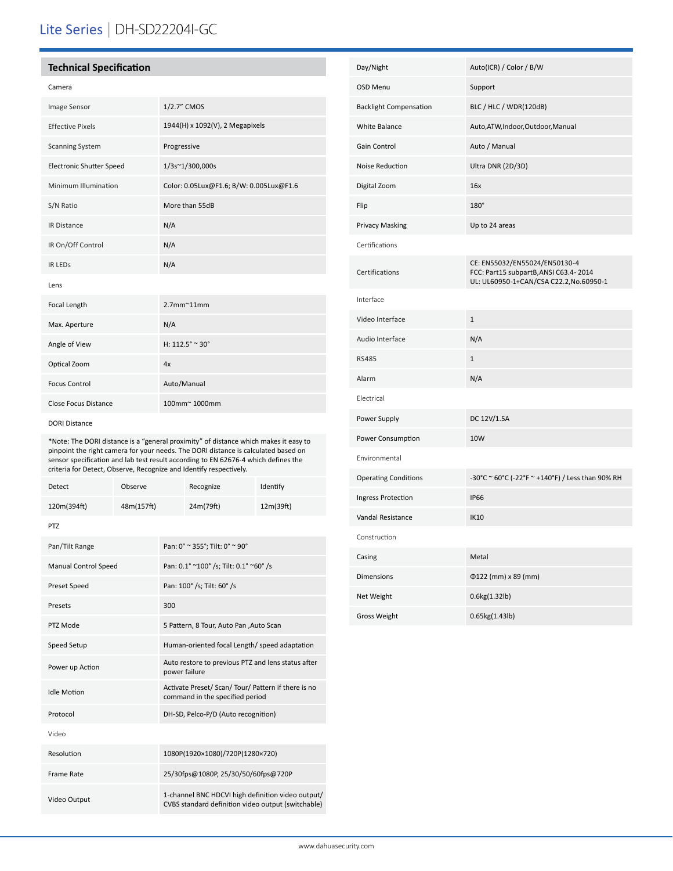# Lite Series | DH-SD22204I-GC

## **Technical Specification**

| ×<br>۰.<br>v<br>$\sim$<br>v.<br>۰.<br>v |
|-----------------------------------------|
|-----------------------------------------|

| Image Sensor                    | 1/2.7" CMOS                             |
|---------------------------------|-----------------------------------------|
| <b>Effective Pixels</b>         | 1944(H) x 1092(V), 2 Megapixels         |
| <b>Scanning System</b>          | Progressive                             |
| <b>Electronic Shutter Speed</b> | 1/3s~1/300,000s                         |
| Minimum Illumination            | Color: 0.05Lux@F1.6; B/W: 0.005Lux@F1.6 |
| S/N Ratio                       | More than 55dB                          |
| <b>IR Distance</b>              | N/A                                     |
| IR On/Off Control               | N/A                                     |
| <b>IR LEDS</b>                  | N/A                                     |
| Lens                            |                                         |
| Focal Length                    | $2.7$ mm $^{\sim}$ 11mm                 |
| Max. Aperture                   | N/A                                     |
| Angle of View                   | H: $112.5^{\circ} \approx 30^{\circ}$   |
| Optical Zoom                    | 4x                                      |
| <b>Focus Control</b>            | Auto/Manual                             |
| Close Focus Distance            | 100mm~1000mm                            |
|                                 |                                         |

#### DORI Distance

\*Note: The DORI distance is a "general proximity" of distance which makes it easy to pinpoint the right camera for your needs. The DORI distance is calculated based on sensor specification and lab test result according to EN 62676-4 which defines the criteria for Detect, Observe, Recognize and Identify respectively.

| Detect                      | Observe    |                                                                                                         | Recognize                                                                              | Identify  |
|-----------------------------|------------|---------------------------------------------------------------------------------------------------------|----------------------------------------------------------------------------------------|-----------|
| 120m(394ft)                 | 48m(157ft) |                                                                                                         | 24m(79ft)                                                                              | 12m(39ft) |
| <b>PTZ</b>                  |            |                                                                                                         |                                                                                        |           |
| Pan/Tilt Range              |            | Pan: 0° ~ 355°; Tilt: 0° ~ 90°                                                                          |                                                                                        |           |
| <b>Manual Control Speed</b> |            |                                                                                                         | Pan: 0.1° ~100° /s; Tilt: 0.1° ~60° /s                                                 |           |
| Preset Speed                |            |                                                                                                         | Pan: 100° /s; Tilt: 60° /s                                                             |           |
| Presets                     |            | 300                                                                                                     |                                                                                        |           |
| PTZ Mode                    |            |                                                                                                         | 5 Pattern, 8 Tour, Auto Pan , Auto Scan                                                |           |
| Speed Setup                 |            |                                                                                                         | Human-oriented focal Length/ speed adaptation                                          |           |
| Power up Action             |            |                                                                                                         | Auto restore to previous PTZ and lens status after<br>power failure                    |           |
| <b>Idle Motion</b>          |            |                                                                                                         | Activate Preset/ Scan/ Tour/ Pattern if there is no<br>command in the specified period |           |
| Protocol                    |            | DH-SD, Pelco-P/D (Auto recognition)                                                                     |                                                                                        |           |
| Video                       |            |                                                                                                         |                                                                                        |           |
| Resolution                  |            | 1080P(1920×1080)/720P(1280×720)                                                                         |                                                                                        |           |
| <b>Frame Rate</b>           |            | 25/30fps@1080P, 25/30/50/60fps@720P                                                                     |                                                                                        |           |
| Video Output                |            | 1-channel BNC HDCVI high definition video output/<br>CVBS standard definition video output (switchable) |                                                                                        |           |

| Day/Night                     | Auto(ICR) / Color / B/W                                                                                          |
|-------------------------------|------------------------------------------------------------------------------------------------------------------|
| <b>OSD Menu</b>               | Support                                                                                                          |
| <b>Backlight Compensation</b> | BLC / HLC / WDR(120dB)                                                                                           |
| <b>White Balance</b>          | Auto, ATW, Indoor, Outdoor, Manual                                                                               |
| Gain Control                  | Auto / Manual                                                                                                    |
| Noise Reduction               | Ultra DNR (2D/3D)                                                                                                |
| Digital Zoom                  | 16x                                                                                                              |
| Flip                          | 180°                                                                                                             |
| <b>Privacy Masking</b>        | Up to 24 areas                                                                                                   |
| Certifications                |                                                                                                                  |
| Certifications                | CE: EN55032/EN55024/EN50130-4<br>FCC: Part15 subpartB, ANSI C63.4-2014<br>UL: UL60950-1+CAN/CSA C22.2,No.60950-1 |
| Interface                     |                                                                                                                  |
| Video Interface               | $\mathbf 1$                                                                                                      |
| Audio Interface               | N/A                                                                                                              |
| <b>RS485</b>                  | $\mathbf{1}$                                                                                                     |
| Alarm                         | N/A                                                                                                              |
| Electrical                    |                                                                                                                  |
| Power Supply                  | DC 12V/1.5A                                                                                                      |
| Power Consumption             | 10W                                                                                                              |
| Environmental                 |                                                                                                                  |
| <b>Operating Conditions</b>   | -30°C ~ 60°C (-22°F ~ +140°F) / Less than 90% RH                                                                 |
| Ingress Protection            | <b>IP66</b>                                                                                                      |
| Vandal Resistance             | <b>IK10</b>                                                                                                      |
| Construction                  |                                                                                                                  |
| Casing                        | Metal                                                                                                            |
| <b>Dimensions</b>             | Φ122 (mm) x 89 (mm)                                                                                              |
| Net Weight                    | 0.6kg(1.32lb)                                                                                                    |
| <b>Gross Weight</b>           | 0.65kg(1.43lb)                                                                                                   |